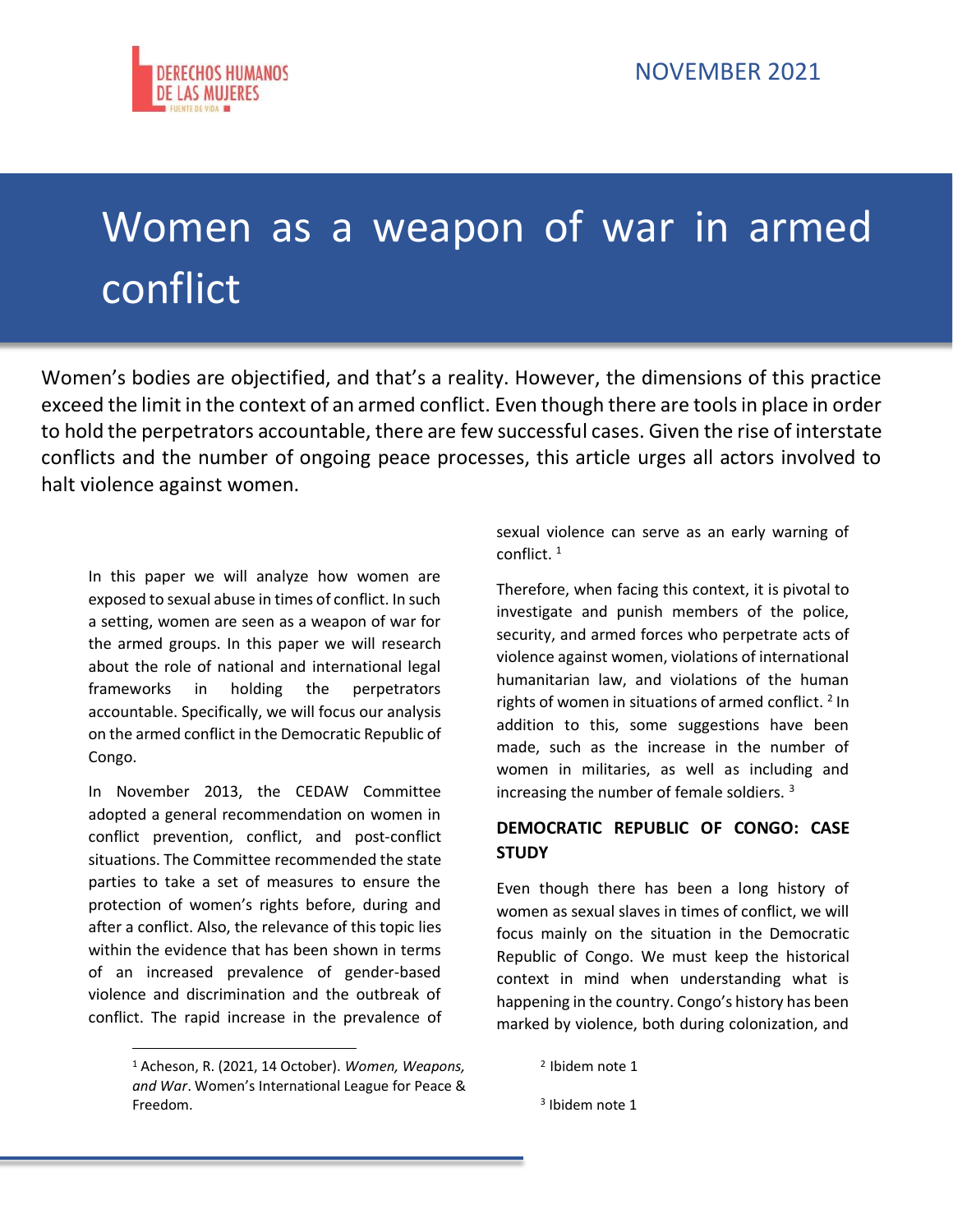# Women as a weapon of war in armed conflict

Women's bodies are objectified, and that's a reality. However, the dimensions of this practice exceed the limit in the context of an armed conflict. Even though there are tools in place in order to hold the perpetrators accountable, there are few successful cases. Given the rise of interstate conflicts and the number of ongoing peace processes, this article urges all actors involved to halt violence against women.

In this paper we will analyze how women are exposed to sexual abuse in times of conflict. In such a setting, women are seen as a weapon of war for the armed groups. In this paper we will research about the role of national and international legal frameworks in holding the perpetrators accountable. Specifically, we will focus our analysis on the armed conflict in the Democratic Republic of Congo.

In November 2013, the CEDAW Committee adopted a general recommendation on women in conflict prevention, conflict, and post-conflict situations. The Committee recommended the state parties to take a set of measures to ensure the protection of women's rights before, during and after a conflict. Also, the relevance of this topic lies within the evidence that has been shown in terms of an increased prevalence of gender-based violence and discrimination and the outbreak of conflict. The rapid increase in the prevalence of sexual violence can serve as an early warning of conflict. <sup>1</sup>

Therefore, when facing this context, it is pivotal to investigate and punish members of the police, security, and armed forces who perpetrate acts of violence against women, violations of international humanitarian law, and violations of the human rights of women in situations of armed conflict.<sup>2</sup> In addition to this, some suggestions have been made, such as the increase in the number of women in militaries, as well as including and increasing the number of female soldiers. <sup>3</sup>

#### **DEMOCRATIC REPUBLIC OF CONGO: CASE STUDY**

Even though there has been a long history of women as sexual slaves in times of conflict, we will focus mainly on the situation in the Democratic Republic of Congo. We must keep the historical context in mind when understanding what is happening in the country. Congo's history has been marked by violence, both during colonization, and

<sup>1</sup> Acheson, R. (2021, 14 October). *Women, Weapons, and War*. Women's International League for Peace & Freedom.

<sup>2</sup> Ibidem note 1

<sup>3</sup> Ibidem note 1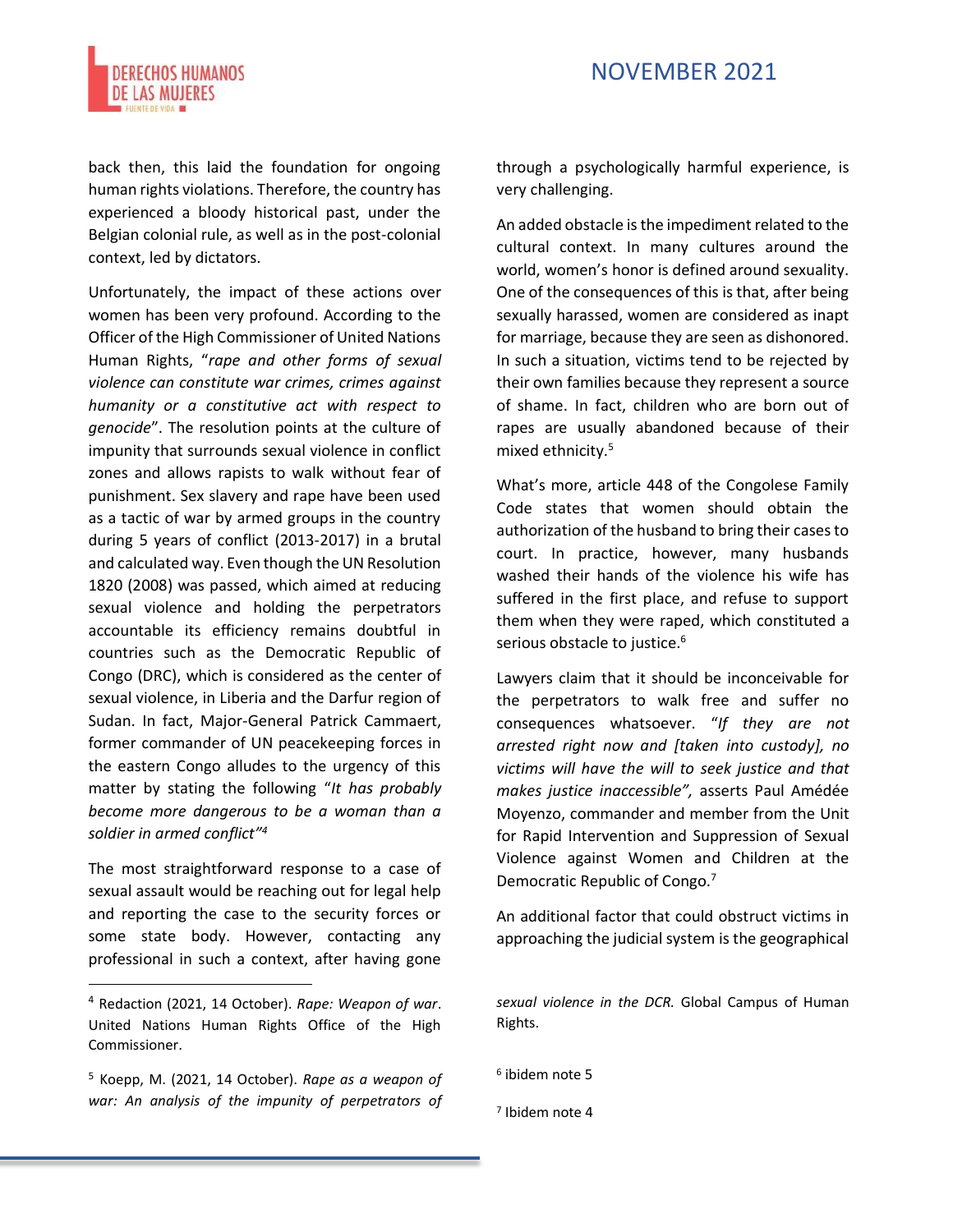

back then, this laid the foundation for ongoing human rights violations. Therefore, the country has experienced a bloody historical past, under the Belgian colonial rule, as well as in the post-colonial context, led by dictators.

Unfortunately, the impact of these actions over women has been very profound. According to the Officer of the High Commissioner of United Nations Human Rights, "*rape and other forms of sexual violence can constitute war crimes, crimes against humanity or a constitutive act with respect to genocide*". The resolution points at the culture of impunity that surrounds sexual violence in conflict zones and allows rapists to walk without fear of punishment. Sex slavery and rape have been used as a tactic of war by armed groups in the country during 5 years of conflict (2013-2017) in a brutal and calculated way. Even though the UN Resolution 1820 (2008) was passed, which aimed at reducing sexual violence and holding the perpetrators accountable its efficiency remains doubtful in countries such as the Democratic Republic of Congo (DRC), which is considered as the center of sexual violence, in Liberia and the Darfur region of Sudan. In fact, Major-General Patrick Cammaert, former commander of UN peacekeeping forces in the eastern Congo alludes to the urgency of this matter by stating the following "*It has probably become more dangerous to be a woman than a soldier in armed conflict"<sup>4</sup>*

The most straightforward response to a case of sexual assault would be reaching out for legal help and reporting the case to the security forces or some state body. However, contacting any professional in such a context, after having gone through a psychologically harmful experience, is very challenging.

An added obstacle is the impediment related to the cultural context. In many cultures around the world, women's honor is defined around sexuality. One of the consequences of this is that, after being sexually harassed, women are considered as inapt for marriage, because they are seen as dishonored. In such a situation, victims tend to be rejected by their own families because they represent a source of shame. In fact, children who are born out of rapes are usually abandoned because of their mixed ethnicity.<sup>5</sup>

What's more, article 448 of the Congolese Family Code states that women should obtain the authorization of the husband to bring their cases to court. In practice, however, many husbands washed their hands of the violence his wife has suffered in the first place, and refuse to support them when they were raped, which constituted a serious obstacle to justice.<sup>6</sup>

Lawyers claim that it should be inconceivable for the perpetrators to walk free and suffer no consequences whatsoever. "*If they are not arrested right now and [taken into custody], no victims will have the will to seek justice and that makes justice inaccessible",* asserts Paul Amédée Moyenzo, commander and member from the Unit for Rapid Intervention and Suppression of Sexual Violence against Women and Children at the Democratic Republic of Congo.<sup>7</sup>

An additional factor that could obstruct victims in approaching the judicial system is the geographical

<sup>4</sup> Redaction (2021, 14 October). *Rape: Weapon of war*. United Nations Human Rights Office of the High Commissioner.

<sup>5</sup> Koepp, M. (2021, 14 October). *Rape as a weapon of war: An analysis of the impunity of perpetrators of* 

*sexual violence in the DCR.* Global Campus of Human Rights.

<sup>6</sup> ibidem note 5

<sup>7</sup> Ibidem note 4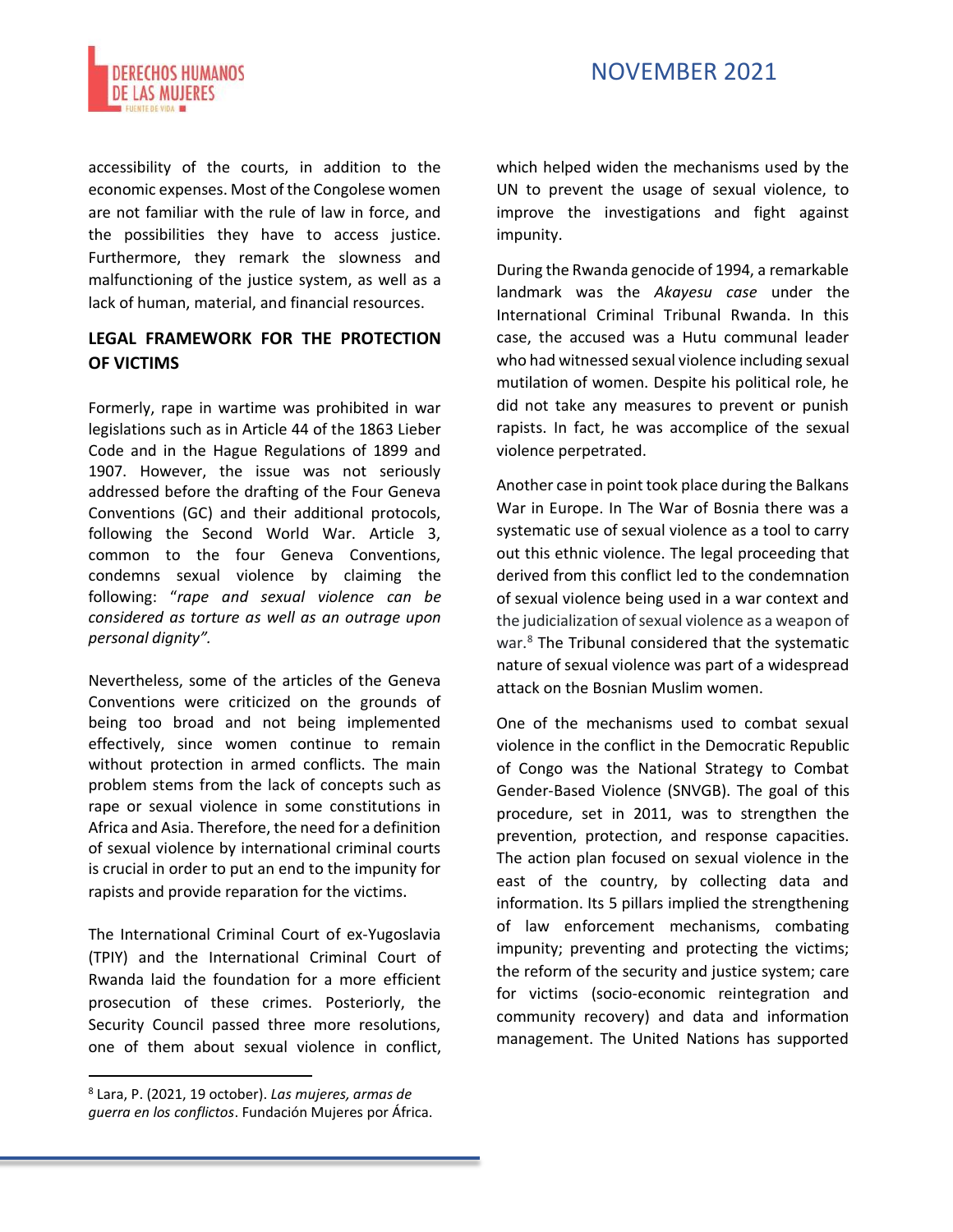

accessibility of the courts, in addition to the economic expenses. Most of the Congolese women are not familiar with the rule of law in force, and the possibilities they have to access justice. Furthermore, they remark the slowness and malfunctioning of the justice system, as well as a lack of human, material, and financial resources.

#### **LEGAL FRAMEWORK FOR THE PROTECTION OF VICTIMS**

Formerly, rape in wartime was prohibited in war legislations such as in Article 44 of the 1863 Lieber Code and in the Hague Regulations of 1899 and 1907. However, the issue was not seriously addressed before the drafting of the Four Geneva Conventions (GC) and their additional protocols, following the Second World War. Article 3, common to the four Geneva Conventions, condemns sexual violence by claiming the following: "*rape and sexual violence can be considered as torture as well as an outrage upon personal dignity".*

Nevertheless, some of the articles of the Geneva Conventions were criticized on the grounds of being too broad and not being implemented effectively, since women continue to remain without protection in armed conflicts. The main problem stems from the lack of concepts such as rape or sexual violence in some constitutions in Africa and Asia. Therefore, the need for a definition of sexual violence by international criminal courts is crucial in order to put an end to the impunity for rapists and provide reparation for the victims.

The International Criminal Court of ex-Yugoslavia (TPIY) and the International Criminal Court of Rwanda laid the foundation for a more efficient prosecution of these crimes. Posteriorly, the Security Council passed three more resolutions, one of them about sexual violence in conflict, which helped widen the mechanisms used by the UN to prevent the usage of sexual violence, to improve the investigations and fight against impunity.

During the Rwanda genocide of 1994, a remarkable landmark was the *Akayesu case* under the International Criminal Tribunal Rwanda. In this case, the accused was a Hutu communal leader who had witnessed sexual violence including sexual mutilation of women. Despite his political role, he did not take any measures to prevent or punish rapists. In fact, he was accomplice of the sexual violence perpetrated.

Another case in point took place during the Balkans War in Europe. In The War of Bosnia there was a systematic use of sexual violence as a tool to carry out this ethnic violence. The legal proceeding that derived from this conflict led to the condemnation of sexual violence being used in a war context and the judicialization of sexual violence as a weapon of war.<sup>8</sup> The Tribunal considered that the systematic nature of sexual violence was part of a widespread attack on the Bosnian Muslim women.

One of the mechanisms used to combat sexual violence in the conflict in the Democratic Republic of Congo was the National Strategy to Combat Gender-Based Violence (SNVGB). The goal of this procedure, set in 2011, was to strengthen the prevention, protection, and response capacities. The action plan focused on sexual violence in the east of the country, by collecting data and information. Its 5 pillars implied the strengthening of law enforcement mechanisms, combating impunity; preventing and protecting the victims; the reform of the security and justice system; care for victims (socio-economic reintegration and community recovery) and data and information management. The United Nations has supported

<sup>8</sup> Lara, P. (2021, 19 october). *Las mujeres, armas de guerra en los conflictos*. Fundación Mujeres por África.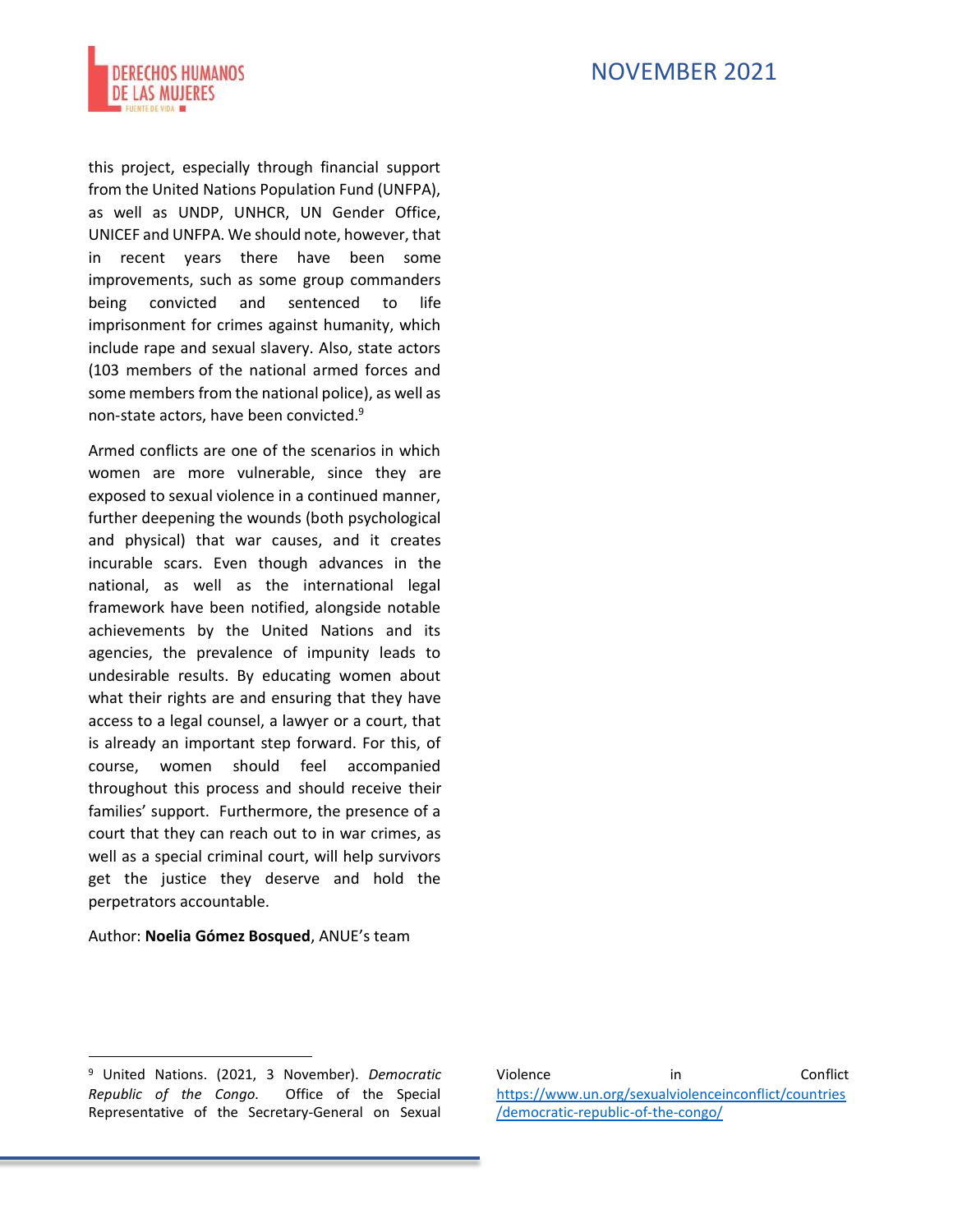

this project, especially through financial support from the United Nations Population Fund (UNFPA), as well as UNDP, UNHCR, UN Gender Office, UNICEF and UNFPA. We should note, however, that in recent years there have been some improvements, such as some group commanders being convicted and sentenced to life imprisonment for crimes against humanity, which include rape and sexual slavery. Also, state actors (103 members of the national armed forces and some members from the national police), as well as non-state actors, have been convicted.<sup>9</sup>

Armed conflicts are one of the scenarios in which women are more vulnerable, since they are exposed to sexual violence in a continued manner, further deepening the wounds (both psychological and physical) that war causes, and it creates incurable scars. Even though advances in the national, as well as the international legal framework have been notified, alongside notable achievements by the United Nations and its agencies, the prevalence of impunity leads to undesirable results. By educating women about what their rights are and ensuring that they have access to a legal counsel, a lawyer or a court, that is already an important step forward. For this, of course, women should feel accompanied throughout this process and should receive their families' support. Furthermore, the presence of a court that they can reach out to in war crimes, as well as a special criminal court, will help survivors get the justice they deserve and hold the perpetrators accountable.

#### Author: **Noelia Gómez Bosqued**, ANUE's team

Violence in Conflict [https://www.un.org/sexualviolenceinconflict/countries](https://www.un.org/sexualviolenceinconflict/countries/democratic-republic-of-the-congo/) [/democratic-republic-of-the-congo/](https://www.un.org/sexualviolenceinconflict/countries/democratic-republic-of-the-congo/)

<sup>9</sup> United Nations. (2021, 3 November). *Democratic Republic of the Congo.* Office of the Special Representative of the Secretary-General on Sexual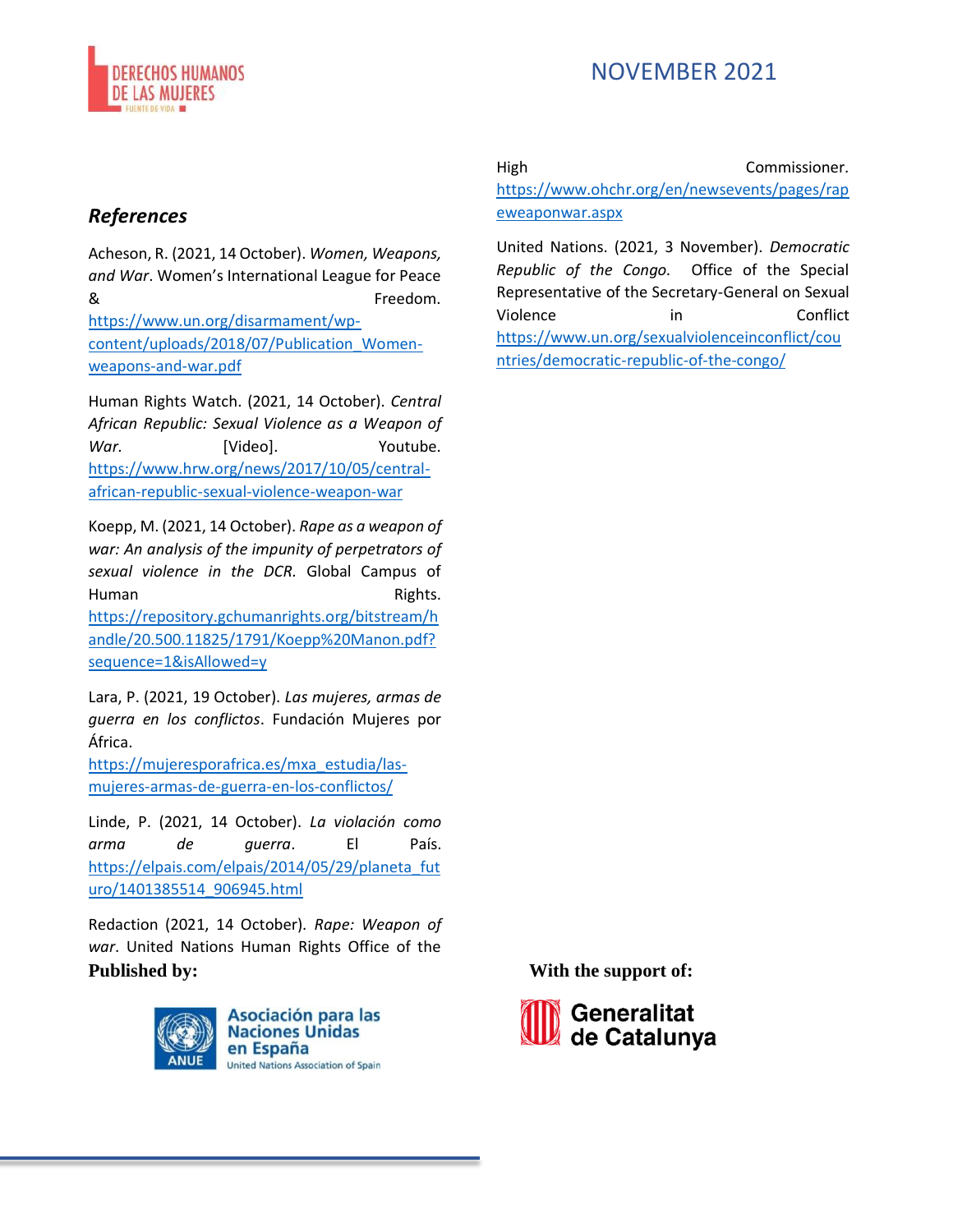

#### *References*

Acheson, R. (2021, 14 October). *Women, Weapons, and War*. Women's International League for Peace & Freedom. [https://www.un.org/disarmament/wp](https://www.un.org/disarmament/wp-content/uploads/2018/07/Publication_Women-weapons-and-war.pdf)[content/uploads/2018/07/Publication\\_Women](https://www.un.org/disarmament/wp-content/uploads/2018/07/Publication_Women-weapons-and-war.pdf)[weapons-and-war.pdf](https://www.un.org/disarmament/wp-content/uploads/2018/07/Publication_Women-weapons-and-war.pdf)

Human Rights Watch. (2021, 14 October). *Central African Republic: Sexual Violence as a Weapon of*  War. [Video]. Youtube. [https://www.hrw.org/news/2017/10/05/central](https://www.hrw.org/news/2017/10/05/central-african-republic-sexual-violence-weapon-war)[african-republic-sexual-violence-weapon-war](https://www.hrw.org/news/2017/10/05/central-african-republic-sexual-violence-weapon-war)

Koepp, M. (2021, 14 October). *Rape as a weapon of war: An analysis of the impunity of perpetrators of sexual violence in the DCR.* Global Campus of Human Rights. [https://repository.gchumanrights.org/bitstream/h](https://repository.gchumanrights.org/bitstream/handle/20.500.11825/1791/Koepp%20Manon.pdf?sequence=1&isAllowed=y) [andle/20.500.11825/1791/Koepp%20Manon.pdf?](https://repository.gchumanrights.org/bitstream/handle/20.500.11825/1791/Koepp%20Manon.pdf?sequence=1&isAllowed=y) [sequence=1&isAllowed=y](https://repository.gchumanrights.org/bitstream/handle/20.500.11825/1791/Koepp%20Manon.pdf?sequence=1&isAllowed=y)

Lara, P. (2021, 19 October). *Las mujeres, armas de guerra en los conflictos*. Fundación Mujeres por África.

[https://mujeresporafrica.es/mxa\\_estudia/las](https://mujeresporafrica.es/mxa_estudia/las-mujeres-armas-de-guerra-en-los-conflictos/)[mujeres-armas-de-guerra-en-los-conflictos/](https://mujeresporafrica.es/mxa_estudia/las-mujeres-armas-de-guerra-en-los-conflictos/)

Linde, P. (2021, 14 October). *La violación como arma de guerra*. El País. https://elpais.com/elpais/2014/05/29/planeta fut [uro/1401385514\\_906945.html](https://elpais.com/elpais/2014/05/29/planeta_futuro/1401385514_906945.html)

Redaction (2021, 14 October). *Rape: Weapon of war*. United Nations Human Rights Office of the **Published by: With the support of:**



**Asociación para las Naciones Unidas** en España **United Nations Association of Spain**  High Commissioner.

[https://www.ohchr.org/en/newsevents/pages/rap](https://www.ohchr.org/en/newsevents/pages/rapeweaponwar.aspx) [eweaponwar.aspx](https://www.ohchr.org/en/newsevents/pages/rapeweaponwar.aspx)

United Nations. (2021, 3 November). *Democratic Republic of the Congo.* Office of the Special Representative of the Secretary-General on Sexual Violence in Conflict [https://www.un.org/sexualviolenceinconflict/cou](https://www.un.org/sexualviolenceinconflict/countries/democratic-republic-of-the-congo/) [ntries/democratic-republic-of-the-congo/](https://www.un.org/sexualviolenceinconflict/countries/democratic-republic-of-the-congo/)